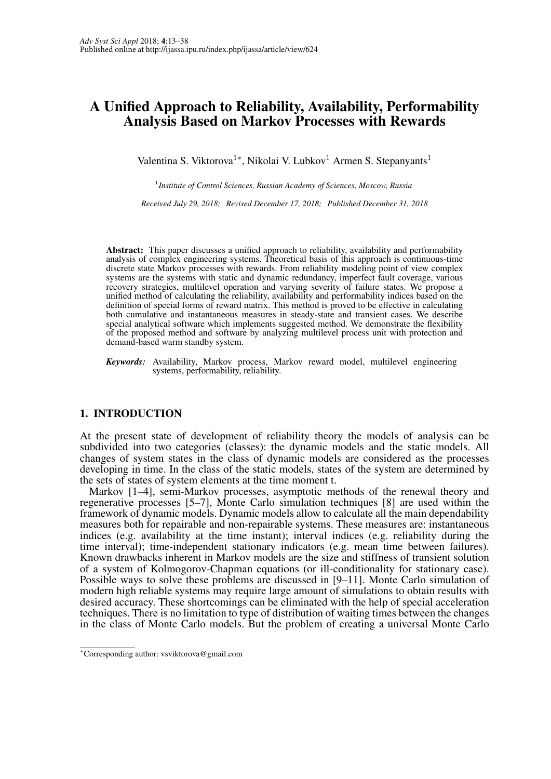# A Unified Approach to Reliability, Availability, Performability Analysis Based on Markov Processes with Rewards

Valentina S. Viktorova<sup>1</sup>\*, Nikolai V. Lubkov<sup>1</sup> Armen S. Stepanyants<sup>1</sup>

1 *Institute of Control Sciences, Russian Academy of Sciences, Moscow, Russia*

*Received July 29, 2018; Revised December 17, 2018; Published December 31, 2018*

Abstract: This paper discusses a unified approach to reliability, availability and performability analysis of complex engineering systems. Theoretical basis of this approach is continuous-time discrete state Markov processes with rewards. From reliability modeling point of view complex systems are the systems with static and dynamic redundancy, imperfect fault coverage, various recovery strategies, multilevel operation and varying severity of failure states. We propose a unified method of calculating the reliability, availability and performability indices based on the definition of special forms of reward matrix. This method is proved to be effective in calculating both cumulative and instantaneous measures in steady-state and transient cases. We describe special analytical software which implements suggested method. We demonstrate the flexibility of the proposed method and software by analyzing multilevel process unit with protection and demand-based warm standby system.

## 1. INTRODUCTION

At the present state of development of reliability theory the models of analysis can be subdivided into two categories (classes): the dynamic models and the static models. All changes of system states in the class of dynamic models are considered as the processes developing in time. In the class of the static models, states of the system are determined by the sets of states of system elements at the time moment t.

Markov [1–4], semi-Markov processes, asymptotic methods of the renewal theory and regenerative processes [5–7], Monte Carlo simulation techniques [8] are used within the framework of dynamic models. Dynamic models allow to calculate all the main dependability measures both for repairable and non-repairable systems. These measures are: instantaneous indices (e.g. availability at the time instant); interval indices (e.g. reliability during the time interval); time-independent stationary indicators (e.g. mean time between failures). Known drawbacks inherent in Markov models are the size and stiffness of transient solution of a system of Kolmogorov-Chapman equations (or ill-conditionality for stationary case). Possible ways to solve these problems are discussed in [9–11]. Monte Carlo simulation of modern high reliable systems may require large amount of simulations to obtain results with desired accuracy. These shortcomings can be eliminated with the help of special acceleration techniques. There is no limitation to type of distribution of waiting times between the changes in the class of Monte Carlo models. But the problem of creating a universal Monte Carlo

*Keywords:* Availability, Markov process, Markov reward model, multilevel engineering systems, performability, reliability.

<sup>∗</sup>Corresponding author: vsviktorova@gmail.com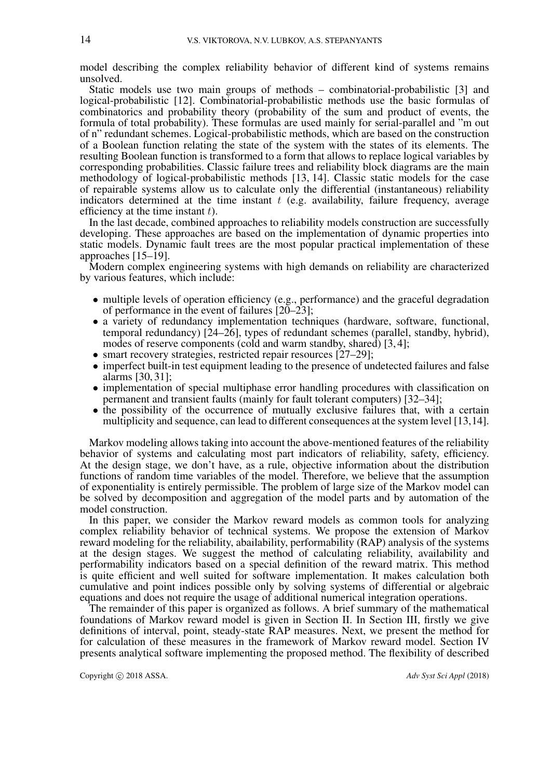model describing the complex reliability behavior of different kind of systems remains unsolved.

Static models use two main groups of methods – combinatorial-probabilistic [3] and logical-probabilistic [12]. Combinatorial-probabilistic methods use the basic formulas of combinatorics and probability theory (probability of the sum and product of events, the formula of total probability). These formulas are used mainly for serial-parallel and "m out of n" redundant schemes. Logical-probabilistic methods, which are based on the construction of a Boolean function relating the state of the system with the states of its elements. The resulting Boolean function is transformed to a form that allows to replace logical variables by corresponding probabilities. Classic failure trees and reliability block diagrams are the main methodology of logical-probabilistic methods [13, 14]. Classic static models for the case of repairable systems allow us to calculate only the differential (instantaneous) reliability indicators determined at the time instant  $t$  (e.g. availability, failure frequency, average efficiency at the time instant  $t$ ).

In the last decade, combined approaches to reliability models construction are successfully developing. These approaches are based on the implementation of dynamic properties into static models. Dynamic fault trees are the most popular practical implementation of these approaches [15–19].

Modern complex engineering systems with high demands on reliability are characterized by various features, which include:

- multiple levels of operation efficiency (e.g., performance) and the graceful degradation of performance in the event of failures  $\left[20-23\right]$ ;
- a variety of redundancy implementation techniques (hardware, software, functional, temporal redundancy) [24–26], types of redundant schemes (parallel, standby, hybrid), modes of reserve components (cold and warm standby, shared) [3, 4];
- smart recovery strategies, restricted repair resources [27–29];
- imperfect built-in test equipment leading to the presence of undetected failures and false alarms [30, 31];
- implementation of special multiphase error handling procedures with classification on permanent and transient faults (mainly for fault tolerant computers) [32–34];
- the possibility of the occurrence of mutually exclusive failures that, with a certain multiplicity and sequence, can lead to different consequences at the system level [13,14].

Markov modeling allows taking into account the above-mentioned features of the reliability behavior of systems and calculating most part indicators of reliability, safety, efficiency. At the design stage, we don't have, as a rule, objective information about the distribution functions of random time variables of the model. Therefore, we believe that the assumption of exponentiality is entirely permissible. The problem of large size of the Markov model can be solved by decomposition and aggregation of the model parts and by automation of the model construction.

In this paper, we consider the Markov reward models as common tools for analyzing complex reliability behavior of technical systems. We propose the extension of Markov reward modeling for the reliability, abailability, performability (RAP) analysis of the systems at the design stages. We suggest the method of calculating reliability, availability and performability indicators based on a special definition of the reward matrix. This method is quite efficient and well suited for software implementation. It makes calculation both cumulative and point indices possible only by solving systems of differential or algebraic equations and does not require the usage of additional numerical integration operations.

The remainder of this paper is organized as follows. A brief summary of the mathematical foundations of Markov reward model is given in Section II. In Section III, firstly we give definitions of interval, point, steady-state RAP measures. Next, we present the method for for calculation of these measures in the framework of Markov reward model. Section IV presents analytical software implementing the proposed method. The flexibility of described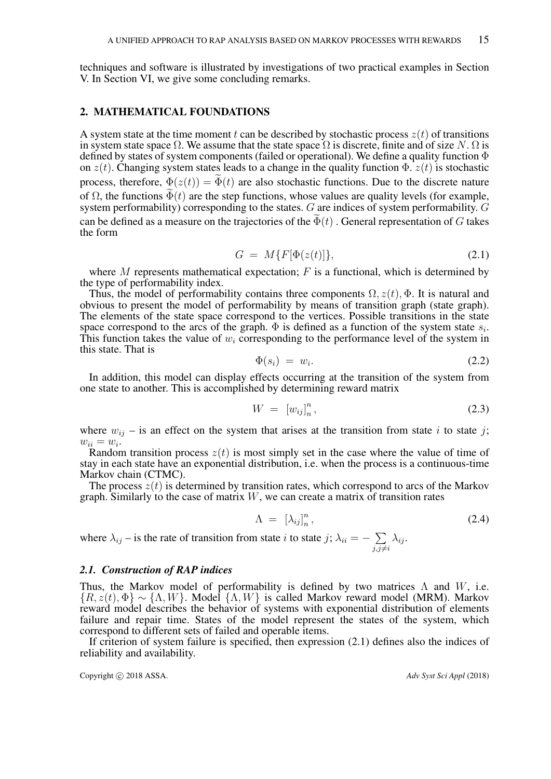techniques and software is illustrated by investigations of two practical examples in Section V. In Section VI, we give some concluding remarks.

## 2. MATHEMATICAL FOUNDATIONS

A system state at the time moment t can be described by stochastic process  $z(t)$  of transitions in system state space  $\Omega$ . We assume that the state space  $\Omega$  is discrete, finite and of size N.  $\Omega$  is defined by states of system components (failed or operational). We define a quality function Φ on  $z(t)$ . Changing system states leads to a change in the quality function  $\Phi$ .  $z(t)$  is stochastic process, therefore,  $\Phi(z(t)) = \tilde{\Phi}(t)$  are also stochastic functions. Due to the discrete nature of  $\Omega$ , the functions  $\Phi(t)$  are the step functions, whose values are quality levels (for example, system performability) corresponding to the states. G are indices of system performability. G can be defined as a measure on the trajectories of the  $\Phi(t)$ . General representation of G takes the form

$$
G = M\{F[\Phi(z(t)]\},\tag{2.1}
$$

where  $M$  represents mathematical expectation;  $F$  is a functional, which is determined by the type of performability index.

Thus, the model of performability contains three components  $\Omega$ ,  $z(t)$ ,  $\Phi$ . It is natural and obvious to present the model of performability by means of transition graph (state graph). The elements of the state space correspond to the vertices. Possible transitions in the state space correspond to the arcs of the graph.  $\Phi$  is defined as a function of the system state  $s_i$ . This function takes the value of  $w_i$  corresponding to the performance level of the system in this state. That is

$$
\Phi(s_i) = w_i. \tag{2.2}
$$

In addition, this model can display effects occurring at the transition of the system from one state to another. This is accomplished by determining reward matrix

$$
W = [w_{ij}]_n^n, \t\t(2.3)
$$

where  $w_{ij}$  – is an effect on the system that arises at the transition from state i to state j;  $w_{ii} = w_i.$ 

Random transition process  $z(t)$  is most simply set in the case where the value of time of stay in each state have an exponential distribution, i.e. when the process is a continuous-time Markov chain (CTMC).

The process  $\dot{z}(t)$  is determined by transition rates, which correspond to arcs of the Markov graph. Similarly to the case of matrix  $W$ , we can create a matrix of transition rates

$$
\Lambda = \left[ \lambda_{ij} \right]_n^n, \tag{2.4}
$$

where  $\lambda_{ij}$  – is the rate of transition from state i to state j;  $\lambda_{ii} = \sum$  $j,j\neq i$  $\lambda_{ij}$ .

## *2.1. Construction of RAP indices*

Thus, the Markov model of performability is defined by two matrices  $\Lambda$  and  $W$ , i.e.  ${R, z(t), \Phi} \sim {\Lambda, W}$ . Model  ${\Lambda, W}$  is called Markov reward model (MRM). Markov reward model describes the behavior of systems with exponential distribution of elements failure and repair time. States of the model represent the states of the system, which correspond to different sets of failed and operable items.

If criterion of system failure is specified, then expression (2.1) defines also the indices of reliability and availability.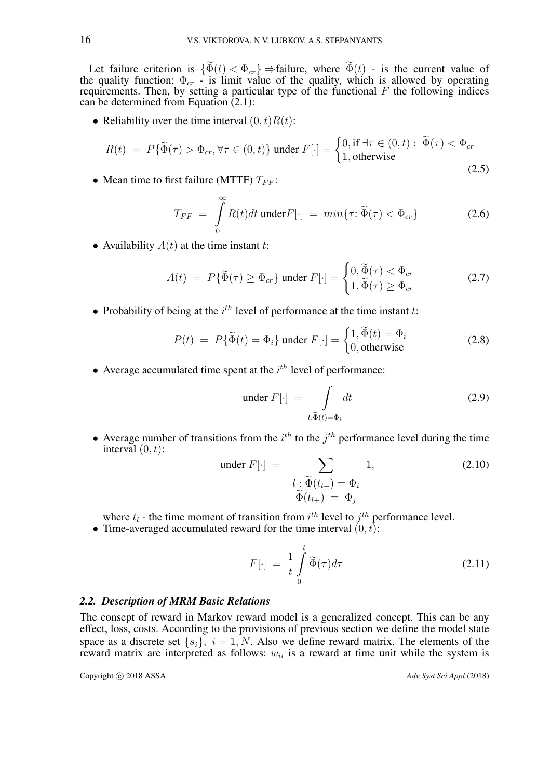Let failure criterion is  $\{\Phi(t) < \Phi_{cr}\} \Rightarrow$  failure, where  $\Phi(t)$  - is the current value of the quality function;  $\Phi_{cr}$  - is limit value of the quality, which is allowed by operating requirements. Then, by setting a particular type of the functional  $F$  the following indices can be determined from Equation  $(2.1)$ :

• Reliability over the time interval  $(0, t)R(t)$ :

$$
R(t) = P\{\widetilde{\Phi}(\tau) > \Phi_{cr}, \forall \tau \in (0, t)\} \text{ under } F[\cdot] = \begin{cases} 0, \text{ if } \exists \tau \in (0, t) : \widetilde{\Phi}(\tau) < \Phi_{cr} \\ 1, \text{ otherwise} \end{cases}
$$
\n(2.5)

• Mean time to first failure (MTTF)  $T_{FF}$ :

$$
T_{FF} = \int_{0}^{\infty} R(t)dt \text{ under } F[\cdot] = min\{\tau : \widetilde{\Phi}(\tau) < \Phi_{cr}\}\tag{2.6}
$$

• Availability  $A(t)$  at the time instant t:

$$
A(t) = P\{\widetilde{\Phi}(\tau) \ge \Phi_{cr}\} \text{ under } F[\cdot] = \begin{cases} 0, \widetilde{\Phi}(\tau) < \Phi_{cr} \\ 1, \widetilde{\Phi}(\tau) \ge \Phi_{cr} \end{cases} \tag{2.7}
$$

• Probability of being at the  $i<sup>th</sup>$  level of performance at the time instant t:

$$
P(t) = P\{\widetilde{\Phi}(t) = \Phi_i\} \text{ under } F[\cdot] = \begin{cases} 1, \widetilde{\Phi}(t) = \Phi_i \\ 0, \text{ otherwise} \end{cases}
$$
 (2.8)

• Average accumulated time spent at the  $i<sup>th</sup>$  level of performance:

under 
$$
F[\cdot] = \int \limits_{t:\tilde{\Phi}(t)=\Phi_i} dt
$$
 (2.9)

• Average number of transitions from the  $i^{th}$  to the  $j^{th}$  performance level during the time interval  $(0, t)$ :

under 
$$
F[\cdot] = \sum_{\substack{l \,:\, \widetilde{\Phi}(t_{l-}) = \Phi_i \\ \widetilde{\Phi}(t_{l+}) = \Phi_j}} 1,
$$
 (2.10)

where  $t_l$  - the time moment of transition from  $i^{th}$  level to  $j^{th}$  performance level.

• Time-averaged accumulated reward for the time interval  $(0, t)$ :

$$
F[\cdot] = \frac{1}{t} \int_{0}^{t} \widetilde{\Phi}(\tau) d\tau
$$
 (2.11)

#### *2.2. Description of MRM Basic Relations*

The consept of reward in Markov reward model is a generalized concept. This can be any effect, loss, costs. According to the provisions of previous section we define the model state space as a discrete set  $\{s_i\}$ ,  $i = \overline{1, N}$ . Also we define reward matrix. The elements of the reward matrix are interpreted as follows:  $w_{ii}$  is a reward at time unit while the system is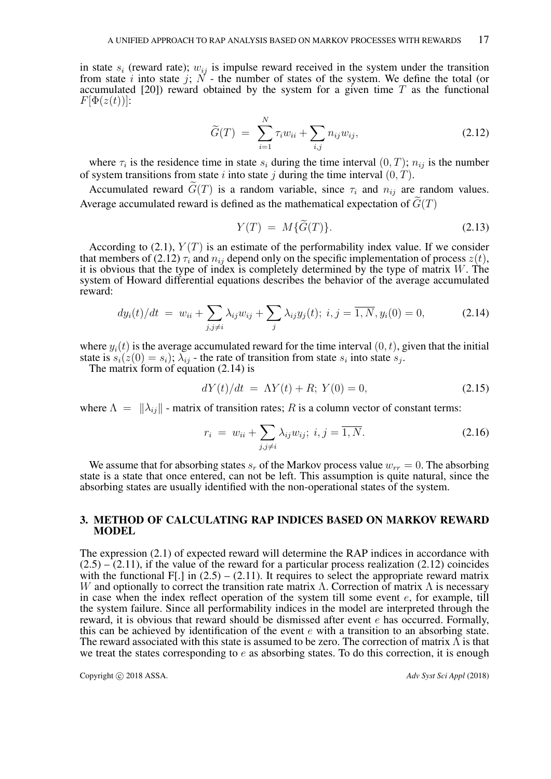in state  $s_i$  (reward rate);  $w_{ij}$  is impulse reward received in the system under the transition from state i into state j;  $N$  - the number of states of the system. We define the total (or accumulated  $[20]$ ) reward obtained by the system for a given time T as the functional  $F[\Phi(z(t))]$ :

$$
\widetilde{G}(T) = \sum_{i=1}^{N} \tau_i w_{ii} + \sum_{i,j} n_{ij} w_{ij},
$$
\n(2.12)

where  $\tau_i$  is the residence time in state  $s_i$  during the time interval  $(0, T)$ ;  $n_{ij}$  is the number of system transitions from state i into state j during the time interval  $(0, T)$ .

Accumulated reward  $\tilde{G}(T)$  is a random variable, since  $\tau_i$  and  $n_{ij}$  are random values. Average accumulated reward is defined as the mathematical expectation of  $G(T)$ 

$$
Y(T) = M\{\widetilde{G}(T)\}.
$$
\n(2.13)

According to (2.1),  $Y(T)$  is an estimate of the performability index value. If we consider that members of (2.12)  $\tau_i$  and  $n_{ij}$  depend only on the specific implementation of process  $z(t)$ , it is obvious that the type of index is completely determined by the type of matrix  $W$ . The system of Howard differential equations describes the behavior of the average accumulated reward:

$$
dy_i(t)/dt = w_{ii} + \sum_{j,j \neq i} \lambda_{ij} w_{ij} + \sum_j \lambda_{ij} y_j(t); \ i, j = \overline{1, N}, y_i(0) = 0,
$$
 (2.14)

where  $y_i(t)$  is the average accumulated reward for the time interval  $(0, t)$ , given that the initial state is  $s_i(z(0) = s_i)$ ;  $\lambda_{ij}$  - the rate of transition from state  $s_i$  into state  $s_j$ .

The matrix form of equation (2.14) is

$$
dY(t)/dt = \Lambda Y(t) + R; Y(0) = 0,
$$
\n(2.15)

where  $\Lambda = ||\lambda_{ij}||$  - matrix of transition rates; R is a column vector of constant terms:

$$
r_i = w_{ii} + \sum_{j,j \neq i} \lambda_{ij} w_{ij}; \ i, j = \overline{1, N}.
$$
 (2.16)

We assume that for absorbing states  $s_r$  of the Markov process value  $w_{rr} = 0$ . The absorbing state is a state that once entered, can not be left. This assumption is quite natural, since the absorbing states are usually identified with the non-operational states of the system.

## 3. METHOD OF CALCULATING RAP INDICES BASED ON MARKOV REWARD MODEL

The expression (2.1) of expected reward will determine the RAP indices in accordance with  $(2.5) - (2.11)$ , if the value of the reward for a particular process realization  $(2.12)$  coincides with the functional F[.] in  $(2.5) - (2.11)$ . It requires to select the appropriate reward matrix W and optionally to correct the transition rate matrix  $\Lambda$ . Correction of matrix  $\Lambda$  is necessary in case when the index reflect operation of the system till some event  $e$ , for example, till the system failure. Since all performability indices in the model are interpreted through the reward, it is obvious that reward should be dismissed after event  $e$  has occurred. Formally, this can be achieved by identification of the event  $e$  with a transition to an absorbing state. The reward associated with this state is assumed to be zero. The correction of matrix  $\Lambda$  is that we treat the states corresponding to  $e$  as absorbing states. To do this correction, it is enough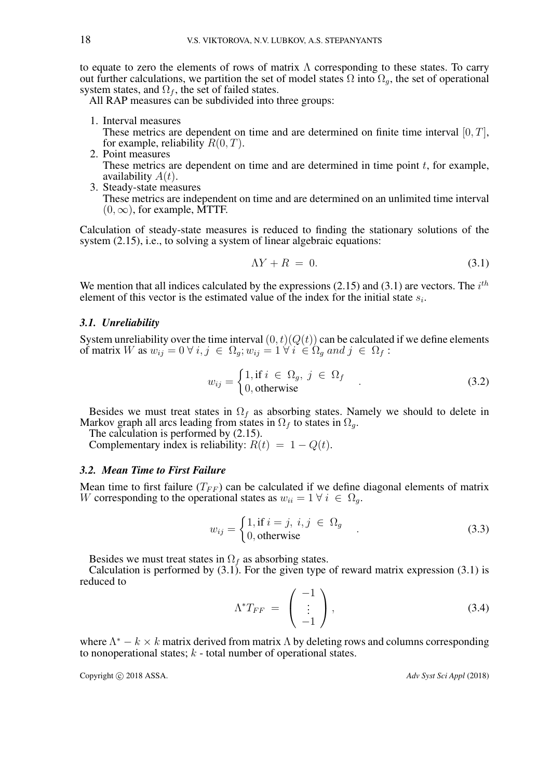to equate to zero the elements of rows of matrix  $\Lambda$  corresponding to these states. To carry out further calculations, we partition the set of model states  $\Omega$  into  $\Omega_q$ , the set of operational system states, and  $\Omega_f$ , the set of failed states.

All RAP measures can be subdivided into three groups:

- 1. Interval measures These metrics are dependent on time and are determined on finite time interval  $[0, T]$ , for example, reliability  $R(0, T)$ .
- 2. Point measures These metrics are dependent on time and are determined in time point  $t$ , for example, availability  $A(t)$ .
- 3. Steady-state measures These metrics are independent on time and are determined on an unlimited time interval  $(0, \infty)$ , for example, MTTF.

Calculation of steady-state measures is reduced to finding the stationary solutions of the system (2.15), i.e., to solving a system of linear algebraic equations:

$$
\Lambda Y + R = 0. \tag{3.1}
$$

We mention that all indices calculated by the expressions (2.15) and (3.1) are vectors. The  $i^{th}$ element of this vector is the estimated value of the index for the initial state  $s_i$ .

## *3.1. Unreliability*

System unreliability over the time interval  $(0, t)(Q(t))$  can be calculated if we define elements of matrix W as  $w_{ij} = 0 \forall i, j \in \Omega_a$ ;  $w_{ij} = 1 \forall i \in \Omega_a$  and  $j \in \Omega_f$ :

$$
w_{ij} = \begin{cases} 1, \text{if } i \in \Omega_g, \ j \in \Omega_f \\ 0, \text{otherwise} \end{cases} \tag{3.2}
$$

Besides we must treat states in  $\Omega_f$  as absorbing states. Namely we should to delete in Markov graph all arcs leading from states in  $\Omega_f$  to states in  $\Omega_g$ .

The calculation is performed by (2.15).

Complementary index is reliability:  $\hat{R}(t) = 1 - Q(t)$ .

## *3.2. Mean Time to First Failure*

Mean time to first failure  $(T_{FF})$  can be calculated if we define diagonal elements of matrix W corresponding to the operational states as  $w_{ii} = 1 \forall i \in \Omega_q$ .

$$
w_{ij} = \begin{cases} 1, \text{if } i = j, i, j \in \Omega_g \\ 0, \text{otherwise} \end{cases} \tag{3.3}
$$

Besides we must treat states in  $\Omega_f$  as absorbing states.

Calculation is performed by  $(3.1)$ . For the given type of reward matrix expression  $(3.1)$  is reduced to

$$
\Lambda^* T_{FF} = \begin{pmatrix} -1 \\ \vdots \\ -1 \end{pmatrix}, \tag{3.4}
$$

where  $\Lambda^* - k \times k$  matrix derived from matrix  $\Lambda$  by deleting rows and columns corresponding to nonoperational states;  $k$  - total number of operational states.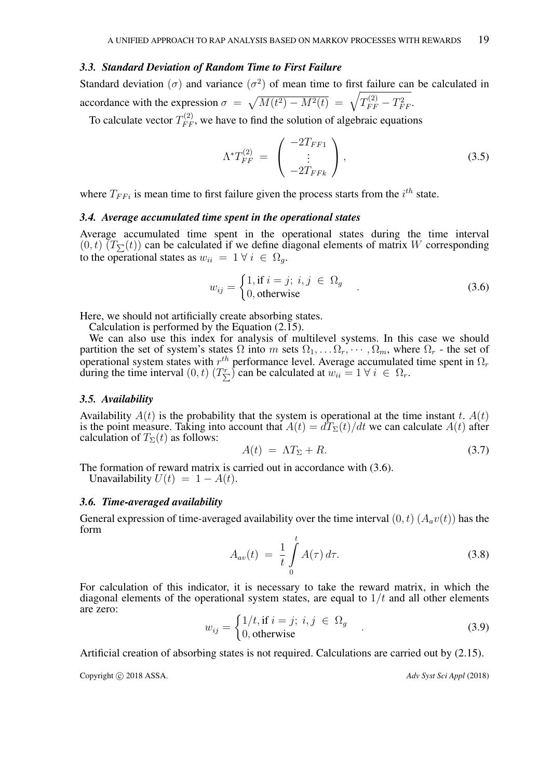## *3.3. Standard Deviation of Random Time to First Failure*

Standard deviation ( $\sigma$ ) and variance ( $\sigma$ <sup>2</sup>) of mean time to first failure can be calculated in accordance with the expression  $\sigma = \sqrt{M(t^2) - M^2(t)} = \sqrt{T_{FF}^{(2)} - T_{FF}^2}$ .

To calculate vector  $T_{FF}^{(2)}$ , we have to find the solution of algebraic equations

$$
\Lambda^* T_{FF}^{(2)} = \begin{pmatrix} -2T_{FF1} \\ \vdots \\ -2T_{FFk} \end{pmatrix}, \tag{3.5}
$$

where  $T_{FFi}$  is mean time to first failure given the process starts from the  $i^{th}$  state.

#### *3.4. Average accumulated time spent in the operational states*

Average accumulated time spent in the operational states during the time interval  $(0, t)$   $(T_{\nabla}(t))$  can be calculated if we define diagonal elements of matrix W corresponding to the operational states as  $w_{ii} = 1 \forall i \in \Omega_q$ .

$$
w_{ij} = \begin{cases} 1, \text{if } i = j; i, j \in \Omega_g \\ 0, \text{otherwise} \end{cases} \tag{3.6}
$$

Here, we should not artificially create absorbing states.

Calculation is performed by the Equation (2.15).

We can also use this index for analysis of multilevel systems. In this case we should partition the set of system's states  $\Omega$  into m sets  $\Omega_1, \ldots \Omega_r, \cdots, \Omega_m$ , where  $\Omega_r$  - the set of operational system states with  $r^{th}$  performance level. Average accumulated time spent in  $\Omega_r$ during the time interval  $(0, t)$   $(T_{\sum}^r)$  can be calculated at  $w_{ii} = 1 \forall i \in \Omega_r$ .

## *3.5. Availability*

Availability  $A(t)$  is the probability that the system is operational at the time instant t.  $A(t)$ is the point measure. Taking into account that  $A(t) = dT<sub>\Sigma</sub>(t)/dt$  we can calculate  $A(t)$  after calculation of  $T_{\Sigma}(t)$  as follows:

$$
A(t) = \Lambda T_{\Sigma} + R. \tag{3.7}
$$

The formation of reward matrix is carried out in accordance with (3.6). Unavailability  $U(t) = 1 - A(t)$ .

## *3.6. Time-averaged availability*

General expression of time-averaged availability over the time interval  $(0, t)$   $(A<sub>a</sub>v(t))$  has the form

$$
A_{av}(t) = \frac{1}{t} \int\limits_0^t A(\tau) d\tau.
$$
 (3.8)

For calculation of this indicator, it is necessary to take the reward matrix, in which the diagonal elements of the operational system states, are equal to  $1/t$  and all other elements are zero:

$$
w_{ij} = \begin{cases} 1/t, \text{if } i = j; \ i, j \in \Omega_g \\ 0, \text{otherwise} \end{cases}
$$
 (3.9)

Artificial creation of absorbing states is not required. Calculations are carried out by (2.15).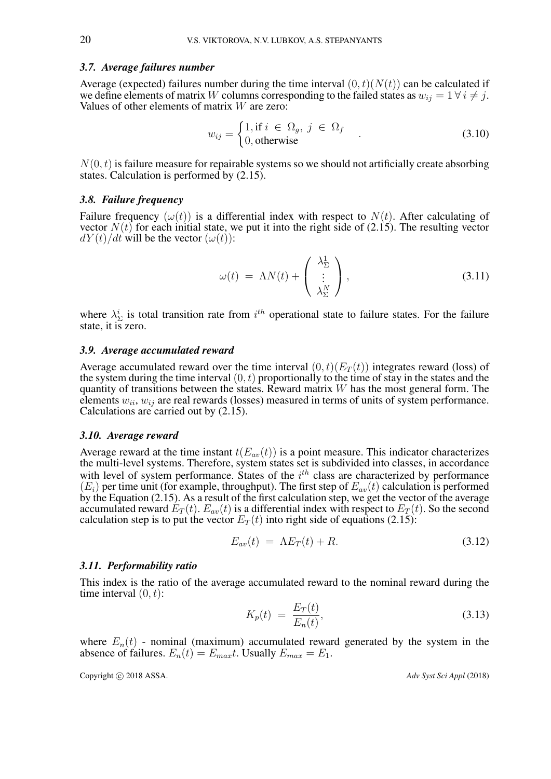## *3.7. Average failures number*

Average (expected) failures number during the time interval  $(0, t)(N(t))$  can be calculated if we define elements of matrix W columns corresponding to the failed states as  $w_{ij} = 1 \forall i \neq j$ . Values of other elements of matrix W are zero:

$$
w_{ij} = \begin{cases} 1, \text{if } i \in \Omega_g, \ j \in \Omega_f \\ 0, \text{otherwise} \end{cases} \tag{3.10}
$$

 $N(0, t)$  is failure measure for repairable systems so we should not artificially create absorbing states. Calculation is performed by (2.15).

#### *3.8. Failure frequency*

Failure frequency  $(\omega(t))$  is a differential index with respect to  $N(t)$ . After calculating of vector  $N(t)$  for each initial state, we put it into the right side of (2.15). The resulting vector  $dY(t)/dt$  will be the vector  $(\omega(t))$ :

$$
\omega(t) = \Lambda N(t) + \begin{pmatrix} \lambda_{\Sigma}^{1} \\ \vdots \\ \lambda_{\Sigma}^{N} \end{pmatrix},
$$
\n(3.11)

where  $\lambda_{\Sigma}^{i}$  is total transition rate from  $i^{th}$  operational state to failure states. For the failure state, it is zero.

## *3.9. Average accumulated reward*

Average accumulated reward over the time interval  $(0, t)(E_T(t))$  integrates reward (loss) of the system during the time interval  $(0, t)$  proportionally to the time of stay in the states and the quantity of transitions between the states. Reward matrix  $W$  has the most general form. The elements  $w_{ii}$ ,  $w_{ij}$  are real rewards (losses) measured in terms of units of system performance. Calculations are carried out by (2.15).

#### *3.10. Average reward*

Average reward at the time instant  $t(E_{av}(t))$  is a point measure. This indicator characterizes the multi-level systems. Therefore, system states set is subdivided into classes, in accordance with level of system performance. States of the  $i<sup>th</sup>$  class are characterized by performance  $(E<sub>i</sub>)$  per time unit (for example, throughput). The first step of  $E<sub>av</sub>(t)$  calculation is performed by the Equation  $(2.15)$ . As a result of the first calculation step, we get the vector of the average accumulated reward  $E_T(t)$ .  $E_{av}(t)$  is a differential index with respect to  $E_T(t)$ . So the second calculation step is to put the vector  $E_T(t)$  into right side of equations (2.15):

$$
E_{av}(t) = \Lambda E_T(t) + R. \tag{3.12}
$$

#### *3.11. Performability ratio*

This index is the ratio of the average accumulated reward to the nominal reward during the time interval  $(0, t)$ :

$$
K_p(t) = \frac{E_T(t)}{E_n(t)},
$$
\n(3.13)

where  $E_n(t)$  - nominal (maximum) accumulated reward generated by the system in the absence of failures.  $E_n(t) = E_{max}t$ . Usually  $E_{max} = E_1$ .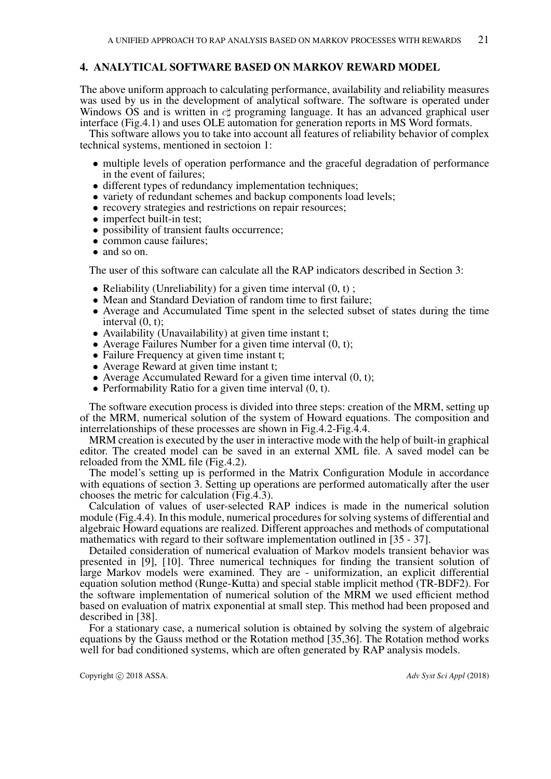## 4. ANALYTICAL SOFTWARE BASED ON MARKOV REWARD MODEL

The above uniform approach to calculating performance, availability and reliability measures was used by us in the development of analytical software. The software is operated under Windows OS and is written in  $c\sharp$  programing language. It has an advanced graphical user interface (Fig.4.1) and uses OLE automation for generation reports in MS Word formats.

This software allows you to take into account all features of reliability behavior of complex technical systems, mentioned in sectoion 1:

- multiple levels of operation performance and the graceful degradation of performance in the event of failures;
- different types of redundancy implementation techniques;
- variety of redundant schemes and backup components load levels;
- recovery strategies and restrictions on repair resources;
- imperfect built-in test;
- possibility of transient faults occurrence;
- common cause failures:
- and so on.

The user of this software can calculate all the RAP indicators described in Section 3:

- Reliability (Unreliability) for a given time interval  $(0, t)$ ;
- Mean and Standard Deviation of random time to first failure;
- Average and Accumulated Time spent in the selected subset of states during the time interval (0, t);
- Availability (Unavailability) at given time instant t;
- Average Failures Number for a given time interval  $(0, t)$ ;
- Failure Frequency at given time instant t;
- Average Reward at given time instant t;
- Average Accumulated Reward for a given time interval  $(0, t)$ ;
- Performability Ratio for a given time interval  $(0, t)$ .

The software execution process is divided into three steps: creation of the MRM, setting up of the MRM, numerical solution of the system of Howard equations. The composition and interrelationships of these processes are shown in Fig.4.2-Fig.4.4.

MRM creation is executed by the user in interactive mode with the help of built-in graphical editor. The created model can be saved in an external XML file. A saved model can be reloaded from the XML file (Fig.4.2).

The model's setting up is performed in the Matrix Configuration Module in accordance with equations of section 3. Setting up operations are performed automatically after the user chooses the metric for calculation (Fig.4.3).

Calculation of values of user-selected RAP indices is made in the numerical solution module (Fig.4.4). In this module, numerical procedures for solving systems of differential and algebraic Howard equations are realized. Different approaches and methods of computational mathematics with regard to their software implementation outlined in [35 - 37].

Detailed consideration of numerical evaluation of Markov models transient behavior was presented in [9], [10]. Three numerical techniques for finding the transient solution of large Markov models were examined. They are - uniformization, an explicit differential equation solution method (Runge-Kutta) and special stable implicit method (TR-BDF2). For the software implementation of numerical solution of the MRM we used efficient method based on evaluation of matrix exponential at small step. This method had been proposed and described in [38].

For a stationary case, a numerical solution is obtained by solving the system of algebraic equations by the Gauss method or the Rotation method [35,36]. The Rotation method works well for bad conditioned systems, which are often generated by RAP analysis models.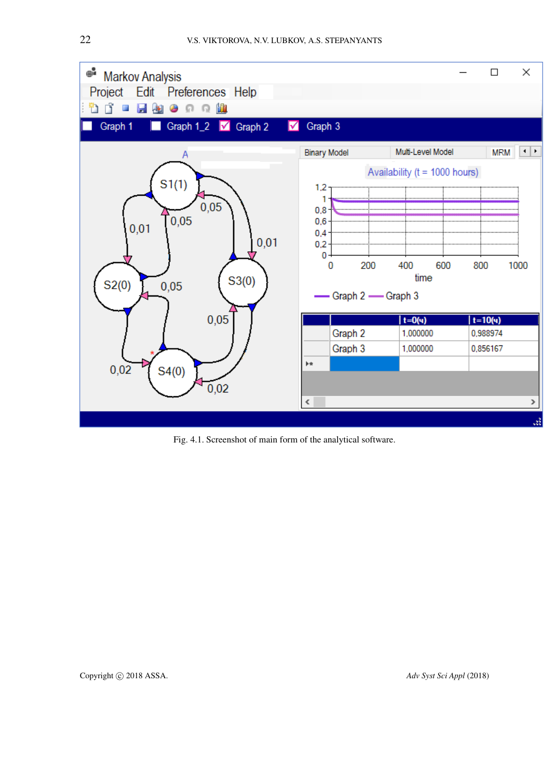

Fig. 4.1. Screenshot of main form of the analytical software.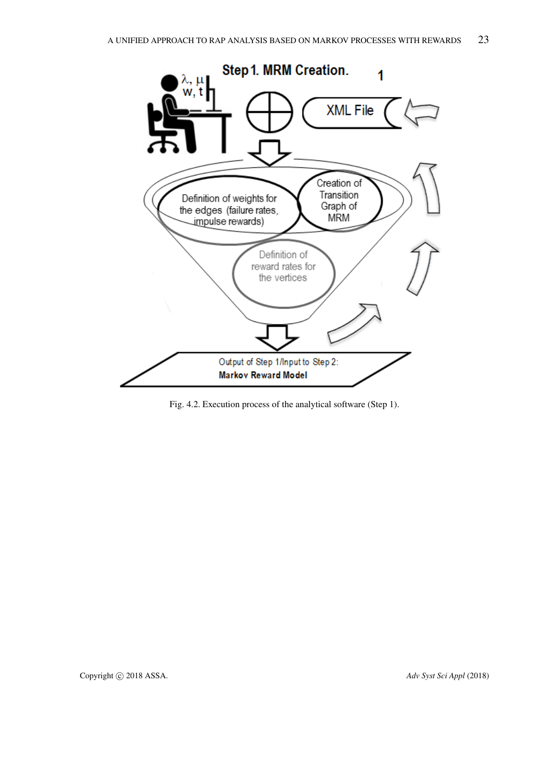

Fig. 4.2. Execution process of the analytical software (Step 1).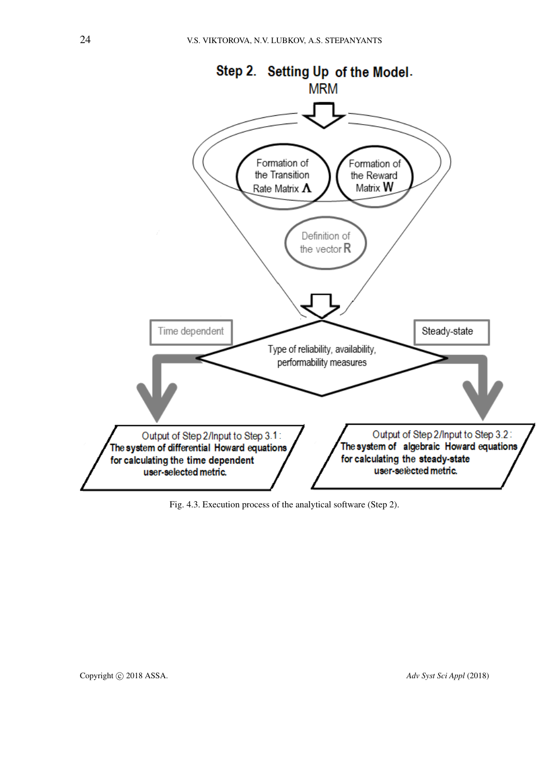

Fig. 4.3. Execution process of the analytical software (Step 2).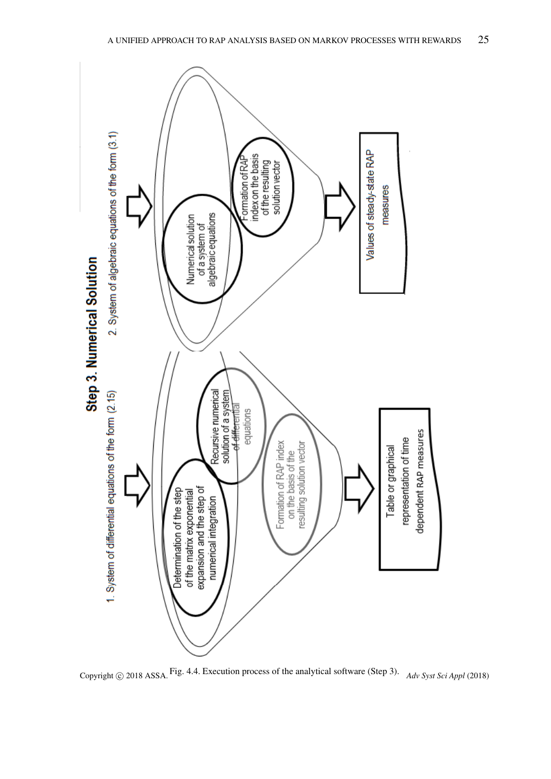

Copyright © 2018 ASSA. Fig. 4.4. Execution process of the analytical software (Step 3). Adv Syst Sci Appl (2018)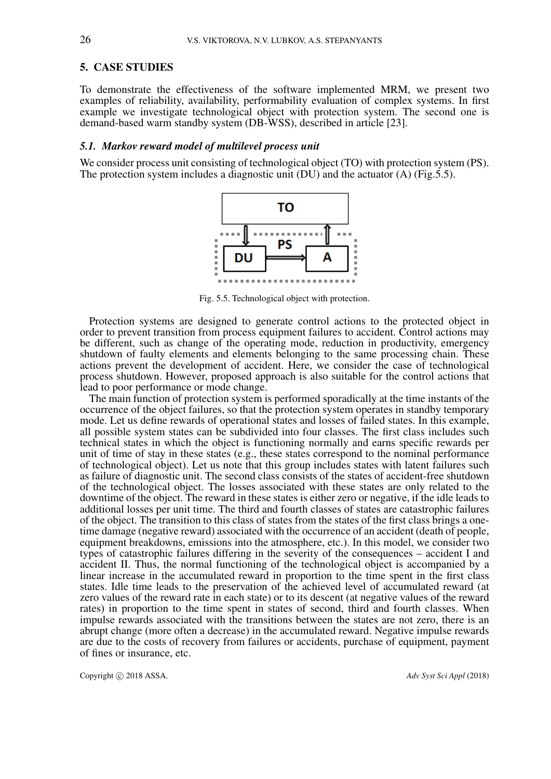## 5. CASE STUDIES

To demonstrate the effectiveness of the software implemented MRM, we present two examples of reliability, availability, performability evaluation of complex systems. In first example we investigate technological object with protection system. The second one is demand-based warm standby system (DB-WSS), described in article [23].

## *5.1. Markov reward model of multilevel process unit*

We consider process unit consisting of technological object (TO) with protection system (PS). The protection system includes a diagnostic unit (DU) and the actuator (A) (Fig.5.5).



Fig. 5.5. Technological object with protection.

Protection systems are designed to generate control actions to the protected object in order to prevent transition from process equipment failures to accident. Control actions may be different, such as change of the operating mode, reduction in productivity, emergency shutdown of faulty elements and elements belonging to the same processing chain. These actions prevent the development of accident. Here, we consider the case of technological process shutdown. However, proposed approach is also suitable for the control actions that lead to poor performance or mode change.

The main function of protection system is performed sporadically at the time instants of the occurrence of the object failures, so that the protection system operates in standby temporary mode. Let us define rewards of operational states and losses of failed states. In this example, all possible system states can be subdivided into four classes. The first class includes such technical states in which the object is functioning normally and earns specific rewards per unit of time of stay in these states (e.g., these states correspond to the nominal performance of technological object). Let us note that this group includes states with latent failures such as failure of diagnostic unit. The second class consists of the states of accident-free shutdown of the technological object. The losses associated with these states are only related to the downtime of the object. The reward in these states is either zero or negative, if the idle leads to additional losses per unit time. The third and fourth classes of states are catastrophic failures of the object. The transition to this class of states from the states of the first class brings a onetime damage (negative reward) associated with the occurrence of an accident (death of people, equipment breakdowns, emissions into the atmosphere, etc.). In this model, we consider two types of catastrophic failures differing in the severity of the consequences – accident I and accident II. Thus, the normal functioning of the technological object is accompanied by a linear increase in the accumulated reward in proportion to the time spent in the first class states. Idle time leads to the preservation of the achieved level of accumulated reward (at zero values of the reward rate in each state) or to its descent (at negative values of the reward rates) in proportion to the time spent in states of second, third and fourth classes. When impulse rewards associated with the transitions between the states are not zero, there is an abrupt change (more often a decrease) in the accumulated reward. Negative impulse rewards are due to the costs of recovery from failures or accidents, purchase of equipment, payment of fines or insurance, etc.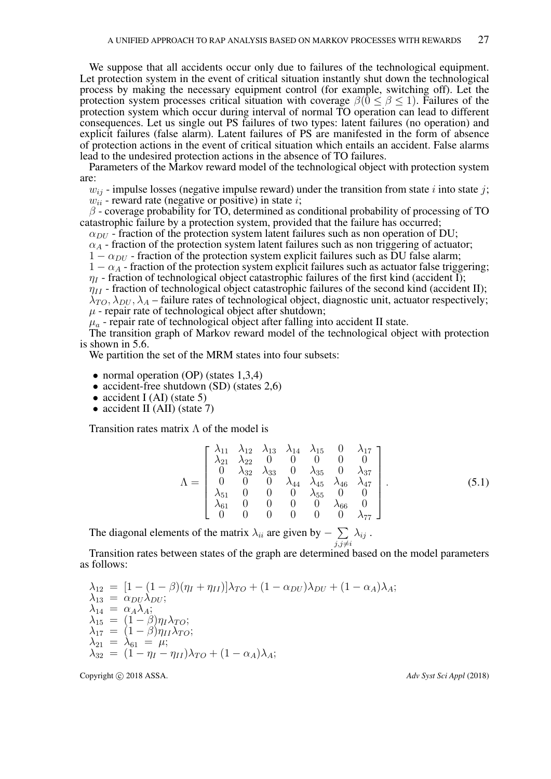We suppose that all accidents occur only due to failures of the technological equipment. Let protection system in the event of critical situation instantly shut down the technological process by making the necessary equipment control (for example, switching off). Let the protection system processes critical situation with coverage  $\beta(0 \le \beta \le 1)$ . Failures of the protection system which occur during interval of normal TO operation can lead to different consequences. Let us single out PS failures of two types: latent failures (no operation) and explicit failures (false alarm). Latent failures of PS are manifested in the form of absence of protection actions in the event of critical situation which entails an accident. False alarms lead to the undesired protection actions in the absence of TO failures.

Parameters of the Markov reward model of the technological object with protection system are:

 $w_{ij}$  - impulse losses (negative impulse reward) under the transition from state i into state j;

 $w_{ii}$  - reward rate (negative or positive) in state *i*;

 $\beta$  - coverage probability for TO, determined as conditional probability of processing of TO catastrophic failure by a protection system, provided that the failure has occurred;

 $\alpha_{DU}$  - fraction of the protection system latent failures such as non operation of DU;

 $\alpha_A$  - fraction of the protection system latent failures such as non triggering of actuator;

 $1 - \alpha_{DU}$  - fraction of the protection system explicit failures such as DU false alarm;

 $1 - \alpha_A$  - fraction of the protection system explicit failures such as actuator false triggering;  $\eta_I$  - fraction of technological object catastrophic failures of the first kind (accident I);

 $\eta_{II}$  - fraction of technological object catastrophic failures of the second kind (accident II);  $\lambda_{TO}, \lambda_{DU}, \lambda_A$  – failure rates of technological object, diagnostic unit, actuator respectively;

 $\mu$  - repair rate of technological object after shutdown;

 $\mu_a$  - repair rate of technological object after falling into accident II state.

The transition graph of Markov reward model of the technological object with protection is shown in 5.6.

We partition the set of the MRM states into four subsets:

- normal operation (OP) (states 1,3,4)
- accident-free shutdown (SD) (states 2,6)
- accident I (AI) (state 5)
- accident II (AII) (state 7)

Transition rates matrix  $\Lambda$  of the model is

$$
\Lambda = \begin{bmatrix}\n\lambda_{11} & \lambda_{12} & \lambda_{13} & \lambda_{14} & \lambda_{15} & 0 & \lambda_{17} \\
\lambda_{21} & \lambda_{22} & 0 & 0 & 0 & 0 & 0 \\
0 & \lambda_{32} & \lambda_{33} & 0 & \lambda_{35} & 0 & \lambda_{37} \\
0 & 0 & 0 & \lambda_{44} & \lambda_{45} & \lambda_{46} & \lambda_{47} \\
\lambda_{51} & 0 & 0 & 0 & \lambda_{55} & 0 & 0 \\
\lambda_{61} & 0 & 0 & 0 & 0 & \lambda_{66} & 0 \\
0 & 0 & 0 & 0 & 0 & 0 & \lambda_{77}\n\end{bmatrix}.
$$
\n(5.1)

The diagonal elements of the matrix  $\lambda_{ii}$  are given by  $\sum$  $j,j\neq i$  $\lambda_{ij}$ .

Transition rates between states of the graph are determined based on the model parameters as follows:

$$
\lambda_{12} = [1 - (1 - \beta)(\eta_I + \eta_{II})] \lambda_{TO} + (1 - \alpha_{DU}) \lambda_{DU} + (1 - \alpha_A) \lambda_A;
$$
  
\n
$$
\lambda_{13} = \alpha_{DU} \lambda_{DU};
$$
  
\n
$$
\lambda_{14} = \alpha_A \lambda_A;
$$
  
\n
$$
\lambda_{15} = (1 - \beta)\eta_I \lambda_{TO};
$$
  
\n
$$
\lambda_{17} = (1 - \beta)\eta_{II} \lambda_{TO};
$$
  
\n
$$
\lambda_{21} = \lambda_{61} = \mu;
$$
  
\n
$$
\lambda_{32} = (1 - \eta_I - \eta_{II}) \lambda_{TO} + (1 - \alpha_A) \lambda_A;
$$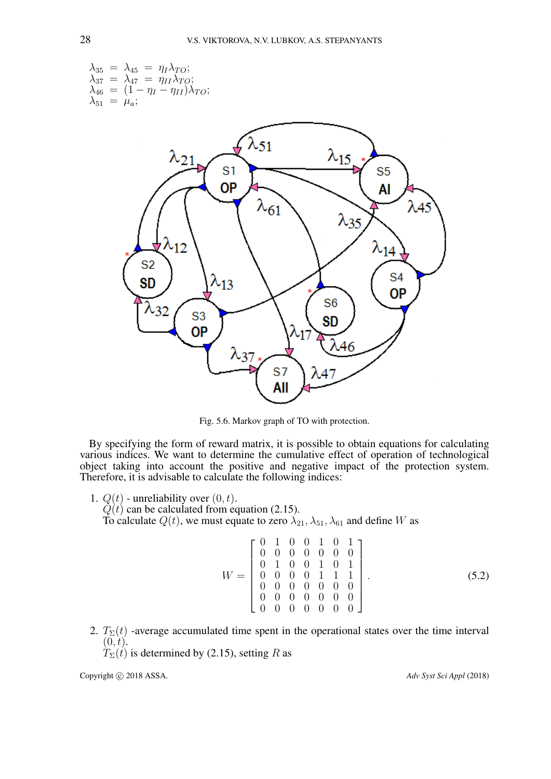

Fig. 5.6. Markov graph of TO with protection.

By specifying the form of reward matrix, it is possible to obtain equations for calculating various indices. We want to determine the cumulative effect of operation of technological object taking into account the positive and negative impact of the protection system. Therefore, it is advisable to calculate the following indices:

- 1.  $Q(t)$  unreliability over  $(0, t)$ .
	- $\dot{Q}(t)$  can be calculated from equation (2.15).

To calculate  $Q(t)$ , we must equate to zero  $\lambda_{21}$ ,  $\lambda_{51}$ ,  $\lambda_{61}$  and define W as

$$
W = \begin{bmatrix} 0 & 1 & 0 & 0 & 1 & 0 & 1 \\ 0 & 0 & 0 & 0 & 0 & 0 & 0 \\ 0 & 1 & 0 & 0 & 1 & 0 & 1 \\ 0 & 0 & 0 & 0 & 1 & 1 & 1 \\ 0 & 0 & 0 & 0 & 0 & 0 & 0 \\ 0 & 0 & 0 & 0 & 0 & 0 & 0 \\ 0 & 0 & 0 & 0 & 0 & 0 & 0 \end{bmatrix}.
$$
 (5.2)

2.  $T_{\Sigma}(t)$  -average accumulated time spent in the operational states over the time interval  $(0, t)$ .

 $T_{\Sigma}(t)$  is determined by (2.15), setting R as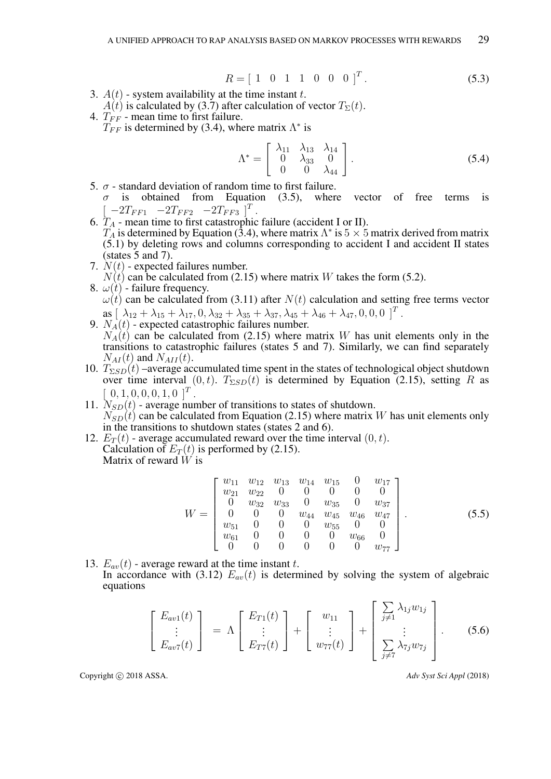$$
R = [1 \ 0 \ 1 \ 1 \ 0 \ 0 \ 0]^T. \tag{5.3}
$$

- 3.  $A(t)$  system availability at the time instant t.  $A(t)$  is calculated by (3.7) after calculation of vector  $T_{\Sigma}(t)$ .
- 4.  $T_{FF}$  mean time to first failure.  $T_{FF}$  is determined by (3.4), where matrix  $\Lambda^*$  is

$$
\Lambda^* = \begin{bmatrix} \lambda_{11} & \lambda_{13} & \lambda_{14} \\ 0 & \lambda_{33} & 0 \\ 0 & 0 & \lambda_{44} \end{bmatrix} .
$$
 (5.4)

- 5.  $\sigma$  standard deviation of random time to first failure.  $\sigma$  is obtained from Equation (3.5), where vector of free terms is  $[-2T_{FF1}$   $-2T_{FF2}$   $-2T_{FF3}$   $]^T$ .
- 6.  $T_A$  mean time to first catastrophic failure (accident I or II).  $T_A$  is determined by Equation (3.4), where matrix  $\Lambda^*$  is  $5 \times 5$  matrix derived from matrix (5.1) by deleting rows and columns corresponding to accident I and accident II states (states 5 and 7).
- 7.  $N(t)$  expected failures number.  $N(t)$  can be calculated from (2.15) where matrix W takes the form (5.2).
- 8.  $\omega(t)$  failure frequency.  $\omega(t)$  can be calculated from (3.11) after  $N(t)$  calculation and setting free terms vector as  $[\ \lambda_{12} + \lambda_{15} + \lambda_{17}, 0, \lambda_{32} + \lambda_{35} + \lambda_{37}, \lambda_{45} + \lambda_{46} + \lambda_{47}, 0, 0, 0]^T$ .
- 9.  $N_A(t)$  expected catastrophic failures number.  $N_A(t)$  can be calculated from (2.15) where matrix W has unit elements only in the transitions to catastrophic failures (states 5 and 7). Similarly, we can find separately  $N_{AI}(t)$  and  $N_{AI}(t)$ .
- 10.  $T_{\Sigma SD}(t)$  –average accumulated time spent in the states of technological object shutdown over time interval  $(0, t)$ .  $T_{\Sigma SD}(t)$  is determined by Equation (2.15), setting R as  $[0, 1, 0, 0, 0, 1, 0]^T$ .
- 11.  $N_{SD}(t)$  average number of transitions to states of shutdown.  $N_{SD}(t)$  can be calculated from Equation (2.15) where matrix W has unit elements only in the transitions to shutdown states (states 2 and 6).
- 12.  $E_T(t)$  average accumulated reward over the time interval  $(0, t)$ . Calculation of  $E_T(t)$  is performed by (2.15). Matrix of reward  $\hat{W}$  is

$$
W = \begin{bmatrix} w_{11} & w_{12} & w_{13} & w_{14} & w_{15} & 0 & w_{17} \\ w_{21} & w_{22} & 0 & 0 & 0 & 0 & 0 \\ 0 & w_{32} & w_{33} & 0 & w_{35} & 0 & w_{37} \\ 0 & 0 & 0 & w_{44} & w_{45} & w_{46} & w_{47} \\ w_{51} & 0 & 0 & 0 & w_{55} & 0 & 0 \\ w_{61} & 0 & 0 & 0 & 0 & w_{66} & 0 \\ 0 & 0 & 0 & 0 & 0 & 0 & w_{77} \end{bmatrix}.
$$
 (5.5)

13.  $E_{av}(t)$  - average reward at the time instant t. In accordance with (3.12)  $E_{av}(t)$  is determined by solving the system of algebraic equations

$$
\begin{bmatrix} E_{av1}(t) \\ \vdots \\ E_{av7}(t) \end{bmatrix} = \Lambda \begin{bmatrix} E_{T1}(t) \\ \vdots \\ E_{T7}(t) \end{bmatrix} + \begin{bmatrix} w_{11} \\ \vdots \\ w_{77}(t) \end{bmatrix} + \begin{bmatrix} \sum_{j \neq 1} \lambda_{1j} w_{1j} \\ \vdots \\ \sum_{j \neq 7} \lambda_{7j} w_{7j} \end{bmatrix} .
$$
 (5.6)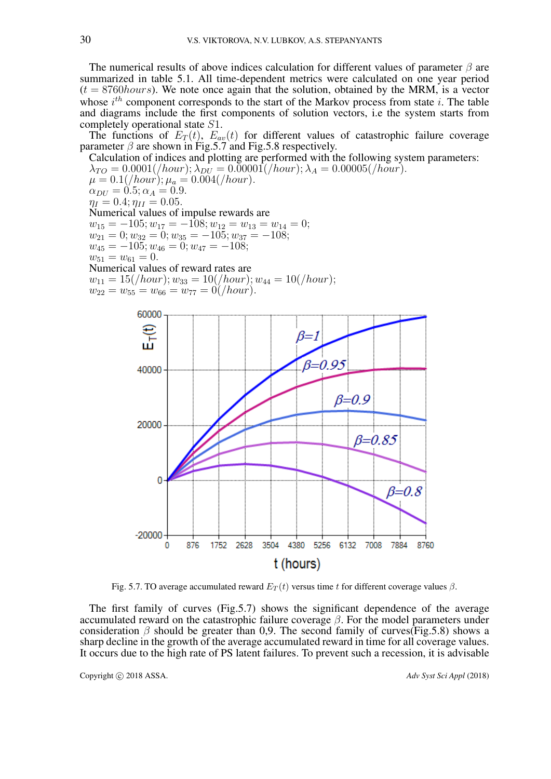The numerical results of above indices calculation for different values of parameter  $\beta$  are summarized in table 5.1. All time-dependent metrics were calculated on one year period  $(t = 8760 hours)$ . We note once again that the solution, obtained by the MRM, is a vector whose  $i^{th}$  component corresponds to the start of the Markov process from state i. The table and diagrams include the first components of solution vectors, i.e the system starts from completely operational state S1.

The functions of  $E_T(t)$ ,  $E_{av}(t)$  for different values of catastrophic failure coverage parameter  $\beta$  are shown in Fig.5.7 and Fig.5.8 respectively.

Calculation of indices and plotting are performed with the following system parameters:  $\lambda_{TO} = 0.0001($ /hour);  $\lambda_{DI} = 0.00001($ /hour);  $\lambda_A = 0.00005/$ /hour).  $\mu = 0.1(fhour); \mu_a = 0.004(fhour).$  $\alpha_{DU} = 0.5$ ;  $\alpha_A = 0.9$ .  $\eta_I = 0.4; \eta_{II} = 0.05.$ Numerical values of impulse rewards are  $w_{15} = -105; w_{17} = -108; w_{12} = w_{13} = w_{14} = 0;$  $w_{21} = 0; w_{32} = 0; w_{35} = -105; w_{37} = -108;$  $w_{45} = -105; w_{46} = 0; w_{47} = -108;$  $w_{51} = w_{61} = 0.$ Numerical values of reward rates are  $w_{11} = 15//hour); w_{33} = 10//hour); w_{44} = 10//hour);$  $w_{22} = w_{55} = w_{66} = w_{77} = 0 //hour).$ 



Fig. 5.7. TO average accumulated reward  $E_T(t)$  versus time t for different coverage values  $\beta$ .

The first family of curves (Fig.5.7) shows the significant dependence of the average accumulated reward on the catastrophic failure coverage  $\beta$ . For the model parameters under consideration  $\beta$  should be greater than 0,9. The second family of curves(Fig.5.8) shows a sharp decline in the growth of the average accumulated reward in time for all coverage values. It occurs due to the high rate of PS latent failures. To prevent such a recession, it is advisable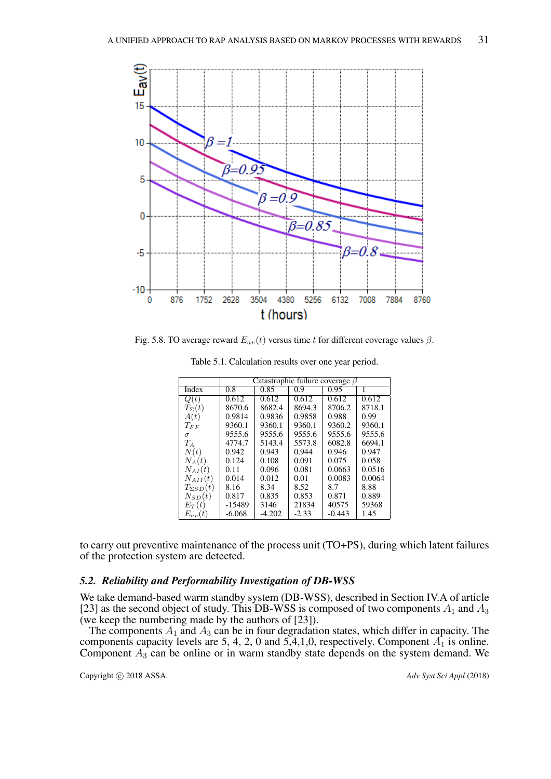

Fig. 5.8. TO average reward  $E_{av}(t)$  versus time t for different coverage values  $\beta$ .

|                    | Catastrophic failure coverage $\beta$ |          |         |          |        |  |  |  |
|--------------------|---------------------------------------|----------|---------|----------|--------|--|--|--|
|                    |                                       |          |         |          |        |  |  |  |
| Index              | 0.8                                   | 0.85     | 0.9     | 0.95     | 1      |  |  |  |
| Q(t)               | 0.612                                 | 0.612    | 0.612   | 0.612    | 0.612  |  |  |  |
| $T_{\Sigma}(t)$    | 8670.6                                | 8682.4   | 8694.3  | 8706.2   | 8718.1 |  |  |  |
| A(t)               | 0.9814                                | 0.9836   | 0.9858  | 0.988    | 0.99   |  |  |  |
| $T_{FF}$           | 9360.1                                | 9360.1   | 9360.1  | 9360.2   | 9360.1 |  |  |  |
| $\sigma$           | 9555.6                                | 9555.6   | 9555.6  | 9555.6   | 9555.6 |  |  |  |
| $T_A$              | 4774.7                                | 5143.4   | 5573.8  | 6082.8   | 6694.1 |  |  |  |
| N(t)               | 0.942                                 | 0.943    | 0.944   | 0.946    | 0.947  |  |  |  |
| $N_A(t)$           | 0.124                                 | 0.108    | 0.091   | 0.075    | 0.058  |  |  |  |
| $N_{AI}(t)$        | 0.11                                  | 0.096    | 0.081   | 0.0663   | 0.0516 |  |  |  |
| $N_{AII}(t)$       | 0.014                                 | 0.012    | 0.01    | 0.0083   | 0.0064 |  |  |  |
| $T_{\Sigma SD}(t)$ | 8.16                                  | 8.34     | 8.52    | 8.7      | 8.88   |  |  |  |
| $N_{SD}(t)$        | 0.817                                 | 0.835    | 0.853   | 0.871    | 0.889  |  |  |  |
| $E_T(t)$           | $-15489$                              | 3146     | 21834   | 40575    | 59368  |  |  |  |
| $E_{av}(t)$        | $-6.068$                              | $-4.202$ | $-2.33$ | $-0.443$ | 1.45   |  |  |  |

Table 5.1. Calculation results over one year period.

to carry out preventive maintenance of the process unit (TO+PS), during which latent failures of the protection system are detected.

## *5.2. Reliability and Performability Investigation of DB-WSS*

We take demand-based warm standby system (DB-WSS), described in Section IV.A of article [23] as the second object of study. This DB-WSS is composed of two components  $A_1$  and  $A_3$ (we keep the numbering made by the authors of [23]).

The components  $A_1$  and  $A_3$  can be in four degradation states, which differ in capacity. The components capacity levels are 5, 4, 2, 0 and  $5,4,1,0$ , respectively. Component  $A_1$  is online. Component  $A_3$  can be online or in warm standby state depends on the system demand. We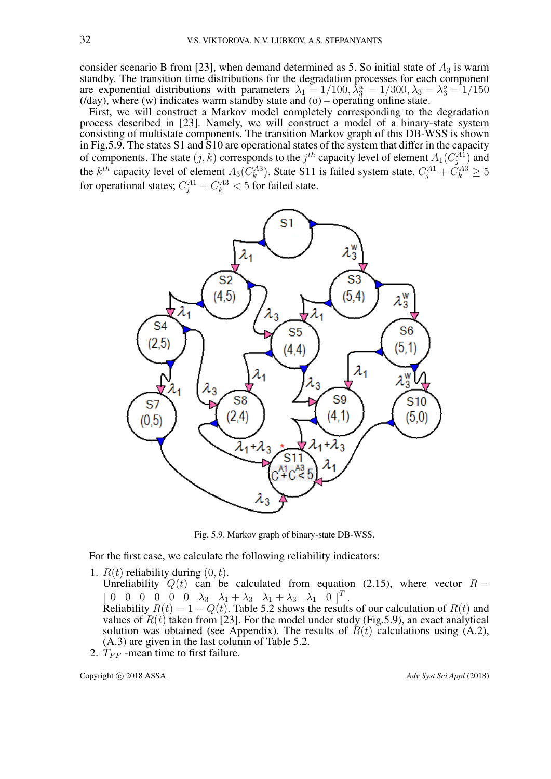consider scenario B from [23], when demand determined as 5. So initial state of  $A_3$  is warm standby. The transition time distributions for the degradation processes for each component are exponential distributions with parameters  $\lambda_1 = 1/100$ ,  $\lambda_3^w = 1/300$ ,  $\lambda_3 = \lambda_3^o = 1/150$  $(day)$ , where  $(w)$  indicates warm standby state and  $(o)$  – operating online state.

First, we will construct a Markov model completely corresponding to the degradation process described in [23]. Namely, we will construct a model of a binary-state system consisting of multistate components. The transition Markov graph of this DB-WSS is shown in Fig.5.9. The states S1 and S10 are operational states of the system that differ in the capacity of components. The state  $(j, k)$  corresponds to the  $j<sup>th</sup>$  capacity level of element  $A_1(C_j^{A1})$  and the  $k^{th}$  capacity level of element  $A_3(C_k^{A3})$ . State S11 is failed system state.  $C_j^{A1} + C_k^{A3} \ge 5$ for operational states;  $C_j^{A1} + C_k^{A3} < 5$  for failed state.



Fig. 5.9. Markov graph of binary-state DB-WSS.

For the first case, we calculate the following reliability indicators:

1.  $R(t)$  reliability during  $(0, t)$ .

Unreliability  $Q(t)$  can be calculated from equation (2.15), where vector  $R =$  $\begin{bmatrix} 0 & 0 & 0 & 0 & 0 & \lambda_3 & \lambda_1 + \lambda_3 & \lambda_1 + \lambda_3 & \lambda_1 & 0 \end{bmatrix}^T$ .

Reliability  $R(t) = 1 - Q(t)$ . Table 5.2 shows the results of our calculation of  $R(t)$  and values of  $R(t)$  taken from [23]. For the model under study (Fig.5.9), an exact analytical solution was obtained (see Appendix). The results of  $R(t)$  calculations using (A.2), (A.3) are given in the last column of Table 5.2.

2.  $T_{FF}$  -mean time to first failure.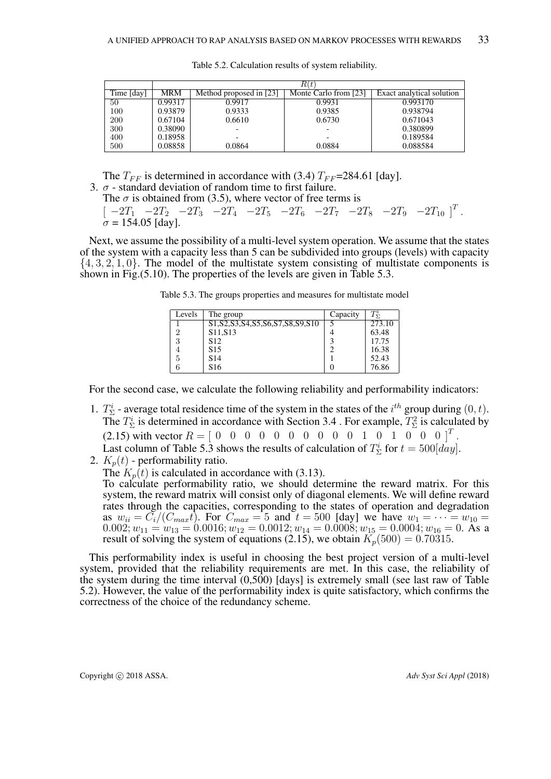|            | R(t)    |                         |                          |                           |  |  |
|------------|---------|-------------------------|--------------------------|---------------------------|--|--|
| Time [day] | MRM     | Method proposed in [23] | Monte Carlo from [23]    | Exact analytical solution |  |  |
| 50         | 0.99317 | 0.9917                  | 0.9931                   | 0.993170                  |  |  |
| 100        | 0.93879 | 0.9333                  | 0.9385                   | 0.938794                  |  |  |
| 200        | 0.67104 | 0.6610                  | 0.6730                   | 0.671043                  |  |  |
| 300        | 0.38090 |                         | $\overline{\phantom{0}}$ | 0.380899                  |  |  |
| 400        | 0.18958 |                         |                          | 0.189584                  |  |  |
| 500        | 0.08858 | 0.0864                  | 0.0884                   | 0.088584                  |  |  |

Table 5.2. Calculation results of system reliability.

The  $T_{FF}$  is determined in accordance with (3.4)  $T_{FF}$ =284.61 [day].

3.  $\sigma$  - standard deviation of random time to first failure.

The  $\sigma$  is obtained from (3.5), where vector of free terms is

 $[-2T_1$   $-2T_2$   $-2T_3$   $-2T_4$   $-2T_5$   $-2T_6$   $-2T_7$   $-2T_8$   $-2T_9$   $-2T_{10}$   $]^T$ .  $\sigma = 154.05$  [day].

Next, we assume the possibility of a multi-level system operation. We assume that the states of the system with a capacity less than 5 can be subdivided into groups (levels) with capacity  $\{4, 3, 2, 1, 0\}$ . The model of the multistate system consisting of multistate components is shown in Fig.(5.10). The properties of the levels are given in Table 5.3.

Table 5.3. The groups properties and measures for multistate model

| Levels | The group                                         | Capacity | $T_{\Sigma}^i$ |
|--------|---------------------------------------------------|----------|----------------|
|        | \$1, \$2, \$3, \$4, \$5, \$6, \$7, \$8, \$9, \$10 |          | 273.10         |
|        | S <sub>11</sub> , S <sub>13</sub>                 |          | 63.48          |
|        | S <sub>12</sub>                                   |          | 17.75          |
|        | S <sub>15</sub>                                   |          | 16.38          |
|        | S <sub>14</sub>                                   |          | 52.43          |
|        | S <sub>16</sub>                                   |          | 76.86          |

For the second case, we calculate the following reliability and performability indicators:

- 1.  $T_{\Sigma}^{i}$  average total residence time of the system in the states of the  $i^{th}$  group during  $(0, t)$ . The  $T_{\Sigma}^{i}$  is determined in accordance with Section 3.4. For example,  $T_{\Sigma}^{2}$  is calculated by (2.15) with vector  $R = [0 \ 0 \ 0 \ 0 \ 0 \ 0 \ 0 \ 0 \ 0 \ 0 \ 0 \ 1 \ 0 \ 1 \ 0 \ 0 \ 0]^T$ . Last column of Table 5.3 shows the results of calculation of  $T_{\Sigma}^{i}$  for  $t = 500 [day]$ .
- 2.  $K_p(t)$  performability ratio.

The  $K_p(t)$  is calculated in accordance with (3.13). To calculate performability ratio, we should determine the reward matrix. For this system, the reward matrix will consist only of diagonal elements. We will define reward rates through the capacities, corresponding to the states of operation and degradation as  $w_{ii} = \overline{C_i}/(C_{max}t)$ . For  $C_{max} = 5$  and  $t = 500$  [day] we have  $w_1 = \cdots = w_{10} =$  $0.002; w_{11} = w_{13} = 0.0016; w_{12} = 0.0012; w_{14} = 0.0008; w_{15} = 0.0004; w_{16} = 0.$  As a result of solving the system of equations (2.15), we obtain  $K_p(500) = 0.70315$ .

This performability index is useful in choosing the best project version of a multi-level system, provided that the reliability requirements are met. In this case, the reliability of the system during the time interval (0,500) [days] is extremely small (see last raw of Table 5.2). However, the value of the performability index is quite satisfactory, which confirms the correctness of the choice of the redundancy scheme.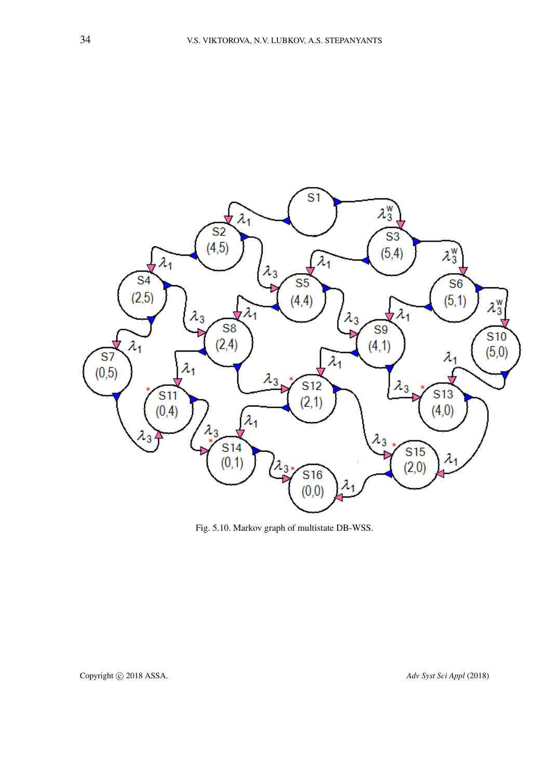

Fig. 5.10. Markov graph of multistate DB-WSS.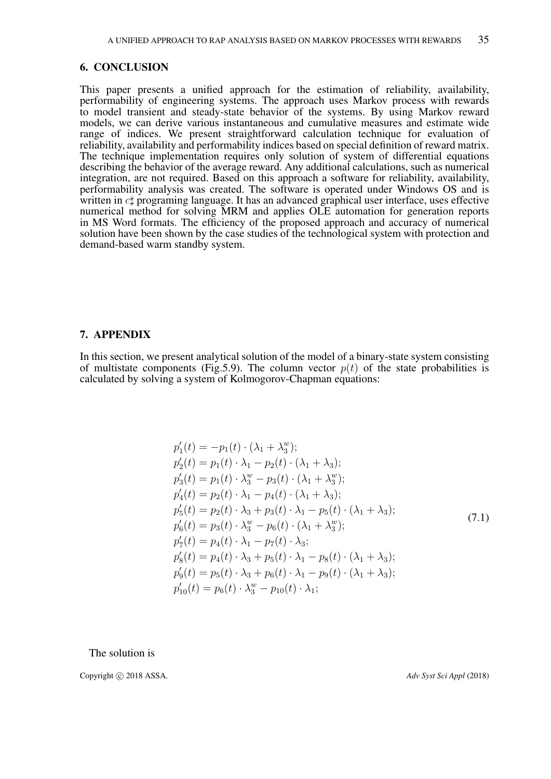## 6. CONCLUSION

This paper presents a unified approach for the estimation of reliability, availability, performability of engineering systems. The approach uses Markov process with rewards to model transient and steady-state behavior of the systems. By using Markov reward models, we can derive various instantaneous and cumulative measures and estimate wide range of indices. We present straightforward calculation technique for evaluation of reliability, availability and performability indices based on special definition of reward matrix. The technique implementation requires only solution of system of differential equations describing the behavior of the average reward. Any additional calculations, such as numerical integration, are not required. Based on this approach a software for reliability, availability, performability analysis was created. The software is operated under Windows OS and is written in  $c\sharp$  programing language. It has an advanced graphical user interface, uses effective numerical method for solving MRM and applies OLE automation for generation reports in MS Word formats. The efficiency of the proposed approach and accuracy of numerical solution have been shown by the case studies of the technological system with protection and demand-based warm standby system.

## 7. APPENDIX

In this section, we present analytical solution of the model of a binary-state system consisting of multistate components (Fig.5.9). The column vector  $p(t)$  of the state probabilities is calculated by solving a system of Kolmogorov-Chapman equations:

$$
p'_{1}(t) = -p_{1}(t) \cdot (\lambda_{1} + \lambda_{3}^{w});
$$
  
\n
$$
p'_{2}(t) = p_{1}(t) \cdot \lambda_{1} - p_{2}(t) \cdot (\lambda_{1} + \lambda_{3});
$$
  
\n
$$
p'_{3}(t) = p_{1}(t) \cdot \lambda_{3}^{w} - p_{3}(t) \cdot (\lambda_{1} + \lambda_{3}^{w});
$$
  
\n
$$
p'_{4}(t) = p_{2}(t) \cdot \lambda_{1} - p_{4}(t) \cdot (\lambda_{1} + \lambda_{3});
$$
  
\n
$$
p'_{5}(t) = p_{2}(t) \cdot \lambda_{3} + p_{3}(t) \cdot \lambda_{1} - p_{5}(t) \cdot (\lambda_{1} + \lambda_{3});
$$
  
\n
$$
p'_{6}(t) = p_{3}(t) \cdot \lambda_{3}^{w} - p_{6}(t) \cdot (\lambda_{1} + \lambda_{3}^{w});
$$
  
\n
$$
p'_{7}(t) = p_{4}(t) \cdot \lambda_{1} - p_{7}(t) \cdot \lambda_{3};
$$
  
\n
$$
p'_{3}(t) = p_{4}(t) \cdot \lambda_{3} + p_{5}(t) \cdot \lambda_{1} - p_{8}(t) \cdot (\lambda_{1} + \lambda_{3});
$$
  
\n
$$
p'_{9}(t) = p_{5}(t) \cdot \lambda_{3} + p_{6}(t) \cdot \lambda_{1} - p_{9}(t) \cdot (\lambda_{1} + \lambda_{3});
$$
  
\n
$$
p'_{10}(t) = p_{6}(t) \cdot \lambda_{3}^{w} - p_{10}(t) \cdot \lambda_{1};
$$
  
\n(7.1)

The solution is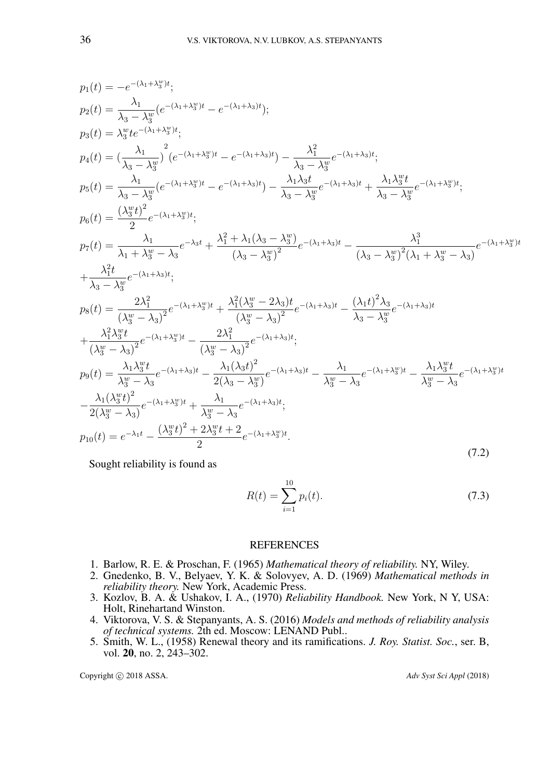$$
p_1(t) = -e^{-(\lambda_1 + \lambda_3^w)t};
$$
  
\n
$$
p_2(t) = \frac{\lambda_1}{\lambda_3 - \lambda_3^w} (e^{-(\lambda_1 + \lambda_3^w)t} - e^{-(\lambda_1 + \lambda_3)t});
$$
  
\n
$$
p_3(t) = \lambda_3^w t e^{-(\lambda_1 + \lambda_3^w)t};
$$
  
\n
$$
p_4(t) = \left(\frac{\lambda_1}{\lambda_3 - \lambda_3^w}\right) (e^{-(\lambda_1 + \lambda_3^w)t} - e^{-(\lambda_1 + \lambda_3)t}) - \frac{\lambda_1^2}{\lambda_3 - \lambda_3^w} e^{-(\lambda_1 + \lambda_3)t};
$$
  
\n
$$
p_5(t) = \frac{\lambda_1}{\lambda_3 - \lambda_3^w} (e^{-(\lambda_1 + \lambda_3^w)t} - e^{-(\lambda_1 + \lambda_3)t}) - \frac{\lambda_1 \lambda_3 t}{\lambda_3 - \lambda_3^w} e^{-(\lambda_1 + \lambda_3)t} + \frac{\lambda_1 \lambda_3^w t}{\lambda_3 - \lambda_3^w} e^{-(\lambda_1 + \lambda_3^w)t};
$$
  
\n
$$
p_6(t) = \frac{(\lambda_3^w t)^2}{2} e^{-(\lambda_1 + \lambda_3^w)t};
$$
  
\n
$$
p_7(t) = \frac{\lambda_1}{\lambda_1 + \lambda_3^w - \lambda_3} e^{-\lambda_3 t} + \frac{\lambda_1^2 + \lambda_1(\lambda_3 - \lambda_3^w)}{(\lambda_3 - \lambda_3^w)^2} e^{-(\lambda_1 + \lambda_3)t} - \frac{\lambda_1^3}{(\lambda_3 - \lambda_3^w)^2(\lambda_1 + \lambda_3^w - \lambda_3)} e^{-(\lambda_1 + \lambda_3^w)t}
$$
  
\n
$$
+ \frac{\lambda_1^2 t}{\lambda_3 - \lambda_3^w} e^{-(\lambda_1 + \lambda_3)t};
$$
  
\n
$$
p_8(t) = \frac{2\lambda_1^2}{(\lambda_3^w - \lambda_3)^2} e^{-(\lambda_1 + \lambda_3^w)t} + \frac{\lambda_1^2(\lambda_3^w - 2\lambda_3)t}{(\lambda_3^w - \lambda_3)^2} e^{-(\lambda_1 + \lambda_
$$

Sought reliability is found as

$$
R(t) = \sum_{i=1}^{10} p_i(t).
$$
\n(7.3)

## REFERENCES

- 1. Barlow, R. E. & Proschan, F. (1965) *Mathematical theory of reliability.* NY, Wiley.
- 2. Gnedenko, B. V., Belyaev, Y. K. & Solovyev, A. D. (1969) *Mathematical methods in reliability theory.* New York, Academic Press.
- 3. Kozlov, B. A. & Ushakov, I. A., (1970) *Reliability Handbook.* New York, N Y, USA: Holt, Rinehartand Winston.
- 4. Viktorova, V. S. & Stepanyants, A. S. (2016) *Models and methods of reliability analysis of technical systems.* 2th ed. Moscow: LENAND Publ..
- 5. Smith, W. L., (1958) Renewal theory and its ramifications. *J. Roy. Statist. Soc.*, ser. B, vol. 20, no. 2, 243–302.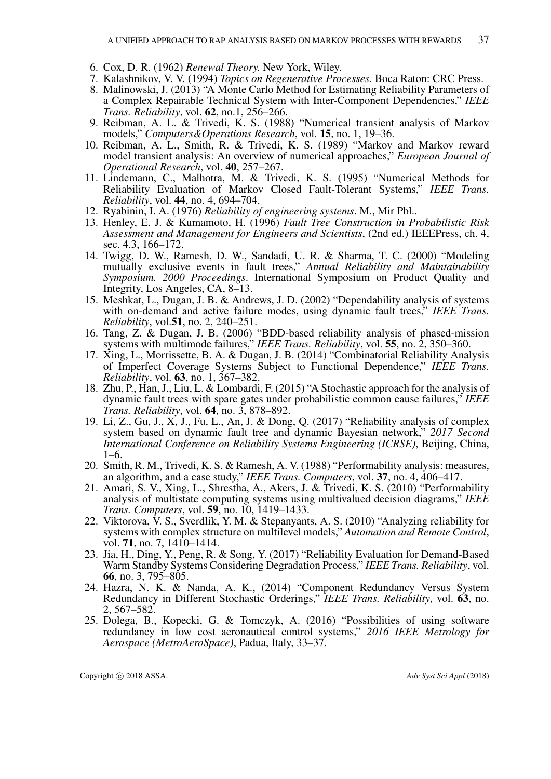- 6. Cox, D. R. (1962) *Renewal Theory.* New York, Wiley.
- 7. Kalashnikov, V. V. (1994) *Topics on Regenerative Processes.* Boca Raton: CRC Press.
- 8. Malinowski, J. (2013) "A Monte Carlo Method for Estimating Reliability Parameters of a Complex Repairable Technical System with Inter-Component Dependencies," *IEEE Trans. Reliability*, vol. 62, no.1, 256–266.
- 9. Reibman, A. L. & Trivedi, K. S. (1988) "Numerical transient analysis of Markov models," *Computers&Operations Research*, vol. 15, no. 1, 19–36.
- 10. Reibman, A. L., Smith, R. & Trivedi, K. S. (1989) "Markov and Markov reward model transient analysis: An overview of numerical approaches," *European Journal of Operational Research*, vol. 40, 257–267.
- 11. Lindemann, C., Malhotra, M. & Trivedi, K. S. (1995) "Numerical Methods for Reliability Evaluation of Markov Closed Fault-Tolerant Systems," *IEEE Trans. Reliability*, vol. 44, no. 4, 694–704.
- 12. Ryabinin, I. A. (1976) *Reliability of engineering systems*. M., Mir Pbl..
- 13. Henley, E. J. & Kumamoto, H. (1996) *Fault Tree Construction in Probabilistic Risk Assessment and Management for Engineers and Scientists*, (2nd ed.) IEEEPress, ch. 4, sec. 4.3, 166–172.
- 14. Twigg, D. W., Ramesh, D. W., Sandadi, U. R. & Sharma, T. C. (2000) "Modeling mutually exclusive events in fault trees," *Annual Reliability and Maintainability Symposium. 2000 Proceedings*. International Symposium on Product Quality and Integrity, Los Angeles, CA, 8–13.
- 15. Meshkat, L., Dugan, J. B. & Andrews, J. D. (2002) "Dependability analysis of systems with on-demand and active failure modes, using dynamic fault trees," *IEEE Trans. Reliability*, vol.51, no. 2, 240–251.
- 16. Tang, Z. & Dugan, J. B. (2006) "BDD-based reliability analysis of phased-mission systems with multimode failures," *IEEE Trans. Reliability*, vol. 55, no. 2, 350–360.
- 17. Xing, L., Morrissette, B. A. & Dugan, J. B. (2014) "Combinatorial Reliability Analysis of Imperfect Coverage Systems Subject to Functional Dependence," *IEEE Trans. Reliability*, vol. 63, no. 1, 367–382.
- 18. Zhu, P., Han, J., Liu, L. & Lombardi, F. (2015) "A Stochastic approach for the analysis of dynamic fault trees with spare gates under probabilistic common cause failures," *IEEE Trans. Reliability*, vol. 64, no. 3, 878–892.
- 19. Li, Z., Gu, J., X, J., Fu, L., An, J. & Dong, Q. (2017) "Reliability analysis of complex system based on dynamic fault tree and dynamic Bayesian network," *2017 Second International Conference on Reliability Systems Engineering (ICRSE)*, Beijing, China, 1–6.
- 20. Smith, R. M., Trivedi, K. S. & Ramesh, A. V. (1988) "Performability analysis: measures, an algorithm, and a case study," *IEEE Trans. Computers*, vol. 37, no. 4, 406–417.
- 21. Amari, S. V., Xing, L., Shrestha, A., Akers, J. & Trivedi, K. S. (2010) "Performability analysis of multistate computing systems using multivalued decision diagrams," *IEEE Trans. Computers*, vol. 59, no. 10, 1419–1433.
- 22. Viktorova, V. S., Sverdlik, Y. M. & Stepanyants, A. S. (2010) "Analyzing reliability for systems with complex structure on multilevel models," *Automation and Remote Control*, vol. 71, no. 7, 1410–1414.
- 23. Jia, H., Ding, Y., Peng, R. & Song, Y. (2017) "Reliability Evaluation for Demand-Based Warm Standby Systems Considering Degradation Process," *IEEE Trans. Reliability*, vol. 66, no. 3, 795–805.
- 24. Hazra, N. K. & Nanda, A. K., (2014) "Component Redundancy Versus System Redundancy in Different Stochastic Orderings," *IEEE Trans. Reliability*, vol. 63, no. 2, 567–582.
- 25. Dolega, B., Kopecki, G. & Tomczyk, A. (2016) "Possibilities of using software redundancy in low cost aeronautical control systems," *2016 IEEE Metrology for Aerospace (MetroAeroSpace)*, Padua, Italy, 33–37.